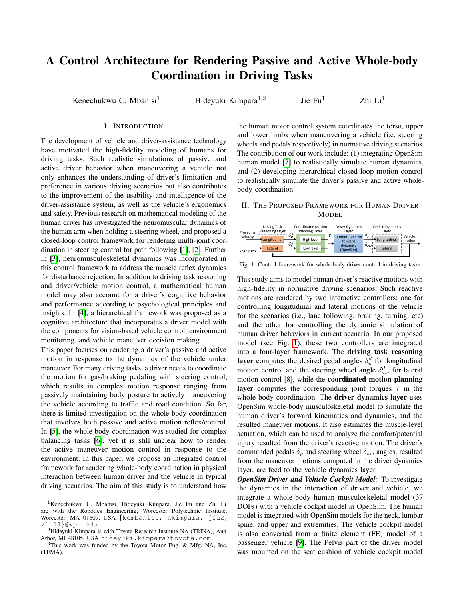# A Control Architecture for Rendering Passive and Active Whole-body Coordination in Driving Tasks

Kenechukwu C. Mbanisi<sup>1</sup> Hideyuki Kimpara<sup>1,2</sup>

Jie  $Fu^1$  Zhi  $Li^1$ 

## I. INTRODUCTION

The development of vehicle and driver-assistance technology have motivated the high-fidelity modeling of humans for driving tasks. Such realistic simulations of passive and active driver behavior when maneuvering a vehicle not only enhances the understanding of driver's limitation and preference in various driving scenarios but also contributes to the improvement of the usability and intelligence of the driver-assistance system, as well as the vehicle's ergonomics and safety. Previous research on mathematical modeling of the human driver has investigated the neuromuscular dynamics of the human arm when holding a steering wheel, and proposed a closed-loop control framework for rendering multi-joint coordination in steering control for path following [\[1\]](#page-1-0), [\[2\]](#page-1-1). Further in [\[3\]](#page-1-2), neuromusculoskeletal dynamics was incorporated in this control framework to address the muscle reflex dynamics for disturbance rejection. In addition to driving task reasoning and driver/vehicle motion control, a mathematical human model may also account for a driver's cognitive behavior and performance according to psychological principles and insights. In [\[4\]](#page-1-3), a hierarchical framework was proposed as a cognitive architecture that incorporates a driver model with the components for vision-based vehicle control, environment monitoring, and vehicle maneuver decision making.

This paper focuses on rendering a driver's passive and active motion in response to the dynamics of the vehicle under maneuver. For many driving tasks, a driver needs to coordinate the motion for gas/braking pedaling with steering control, which results in complex motion response ranging from passively maintaining body posture to actively maneuvering the vehicle according to traffic and road condition. So far, there is limited investigation on the whole-body coordination that involves both passive and active motion reflex/control. In [\[5\]](#page-1-4), the whole-body coordination was studied for complex balancing tasks [\[6\]](#page-1-5), yet it is still unclear how to render the active maneuver motion control in response to the environment. In this paper, we propose an integrated control framework for rendering whole-body coordination in physical interaction between human driver and the vehicle in typical driving scenarios. The aim of this study is to understand how

the human motor control system coordinates the torso, upper and lower limbs when maneuvering a vehicle (i.e. steering wheels and pedals respectively) in normative driving scenarios. The contribution of our work include: (1) integrating OpenSim human model [\[7\]](#page-1-6) to realistically simulate human dynamics, and (2) developing hierarchical closed-loop motion control to realistically simulate the driver's passive and active wholebody coordination.

# II. THE PROPOSED FRAMEWORK FOR HUMAN DRIVER MODEL

<span id="page-0-0"></span>

Fig. 1: Control framework for whole-body driver control in driving tasks

This study aims to model human driver's reactive motions with high-fidelity in normative driving scenarios. Such reactive motions are rendered by two interactive controllers: one for controlling longitudinal and lateral motions of the vehicle for the scenarios (i.e., lane following, braking, turning, etc) and the other for controlling the dynamic simulation of human driver behaviors in current scenario. In our proposed model (see Fig. [1\)](#page-0-0), these two controllers are integrated into a four-layer framework. The driving task reasoning layer computes the desired pedal angles  $\delta_p^d$  for longitudinal motion control and the steering wheel angle  $\delta_{sw}^d$  for lateral motion control [\[8\]](#page-1-7), while the coordinated motion planning layer computes the corresponding joint torques  $\tau$  in the whole-body coordination. The **driver dynamics layer** uses OpenSim whole-body musculoskeletal model to simulate the human driver's forward kinematics and dynamics, and the resulted maneuver motions. It also estimates the muscle-level actuation, which can be used to analyze the comfort/potential injury resulted from the driver's reactive motion. The driver's commanded pedals  $\delta_p$  and steering wheel  $\delta_{sw}$  angles, resulted from the maneuver motions computed in the driver dynamics layer, are feed to the vehicle dynamics layer.

*OpenSim Driver and Vehicle Cockpit Model:* To investigate the dynamics in the interaction of driver and vehicle, we integrate a whole-body human musculoskeletal model (37 DOFs) with a vehicle cockpit model in OpenSim. The human model is integrated with OpenSim models for the neck, lumbar spine, and upper and extremities. The vehicle cockpit model is also converted from a finite element (FE) model of a passenger vehicle [\[9\]](#page-1-8). The Pelvis part of the driver model was mounted on the seat cushion of vehicle cockpit model

<sup>&</sup>lt;sup>1</sup>Kenechukwu C. Mbanisi, Hideyuki Kimpara, Jie Fu and Zhi Li are with the Robotics Engineering, Worcester Polytechnic Institute, Worcester, MA 01609, USA {kcmbanisi, hkimpara, jfu2, zli11}@wpi.edu

<sup>&</sup>lt;sup>2</sup>Hideyuki Kimpara is with Toyota Research Institute NA (TRINA), Ann Arbor, MI 48105, USA hideyuki.kimpara@toyota.com

<sup>3</sup>This work was funded by the Toyota Motor Eng. & Mfg. NA, Inc. (TEMA).